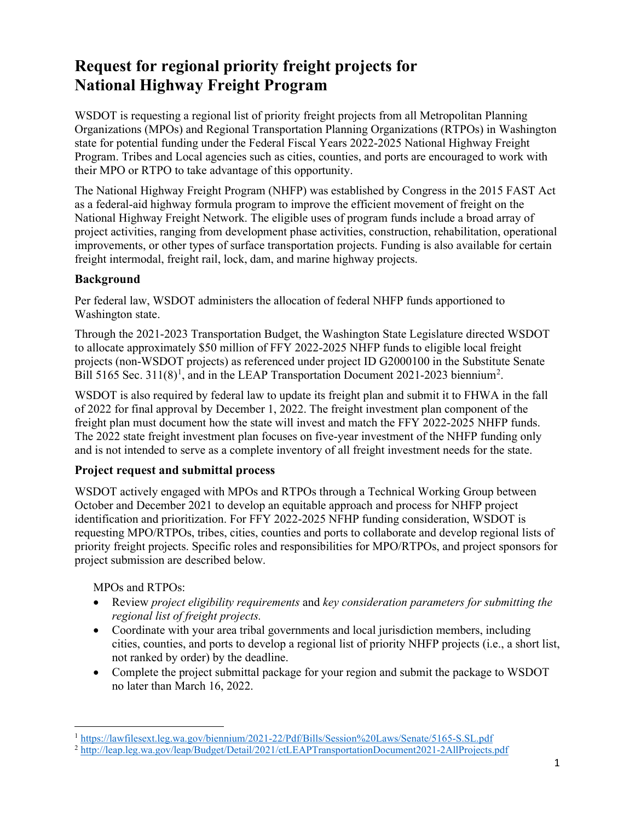# **Request for regional priority freight projects for National Highway Freight Program**

WSDOT is requesting a regional list of priority freight projects from all Metropolitan Planning Organizations (MPOs) and Regional Transportation Planning Organizations (RTPOs) in Washington state for potential funding under the Federal Fiscal Years 2022-2025 National Highway Freight Program. Tribes and Local agencies such as cities, counties, and ports are encouraged to work with their MPO or RTPO to take advantage of this opportunity.

The National Highway Freight Program (NHFP) was established by Congress in the 2015 FAST Act as a federal-aid highway formula program to improve the efficient movement of freight on the National Highway Freight Network. The eligible uses of program funds include a broad array of project activities, ranging from development phase activities, construction, rehabilitation, operational improvements, or other types of surface transportation projects. Funding is also available for certain freight intermodal, freight rail, lock, dam, and marine highway projects.

### **Background**

Per federal law, WSDOT administers the allocation of federal NHFP funds apportioned to Washington state.

Through the 2021-2023 Transportation Budget, the Washington State Legislature directed WSDOT to allocate approximately \$50 million of FFY 2022-2025 NHFP funds to eligible local freight projects (non-WSDOT projects) as referenced under project ID G2000100 in the Substitute Senate Bill 5[1](#page-0-0)65 Sec. 311(8)<sup>1</sup>, and in the LEAP Transportation Document [2](#page-0-1)021-2023 biennium<sup>2</sup>.

WSDOT is also required by federal law to update its freight plan and submit it to FHWA in the fall of 2022 for final approval by December 1, 2022. The freight investment plan component of the freight plan must document how the state will invest and match the FFY 2022-2025 NHFP funds. The 2022 state freight investment plan focuses on five-year investment of the NHFP funding only and is not intended to serve as a complete inventory of all freight investment needs for the state.

# **Project request and submittal process**

WSDOT actively engaged with MPOs and RTPOs through a Technical Working Group between October and December 2021 to develop an equitable approach and process for NHFP project identification and prioritization. For FFY 2022-2025 NFHP funding consideration, WSDOT is requesting MPO/RTPOs, tribes, cities, counties and ports to collaborate and develop regional lists of priority freight projects. Specific roles and responsibilities for MPO/RTPOs, and project sponsors for project submission are described below.

MPOs and RTPOs:

- Review *project eligibility requirements* and *key consideration parameters for submitting the regional list of freight projects.*
- Coordinate with your area tribal governments and local jurisdiction members, including cities, counties, and ports to develop a regional list of priority NHFP projects (i.e., a short list, not ranked by order) by the deadline.
- Complete the project submittal package for your region and submit the package to WSDOT no later than March 16, 2022.

<span id="page-0-0"></span><sup>1</sup> <https://lawfilesext.leg.wa.gov/biennium/2021-22/Pdf/Bills/Session%20Laws/Senate/5165-S.SL.pdf>

<span id="page-0-1"></span><sup>2</sup> <http://leap.leg.wa.gov/leap/Budget/Detail/2021/ctLEAPTransportationDocument2021-2AllProjects.pdf>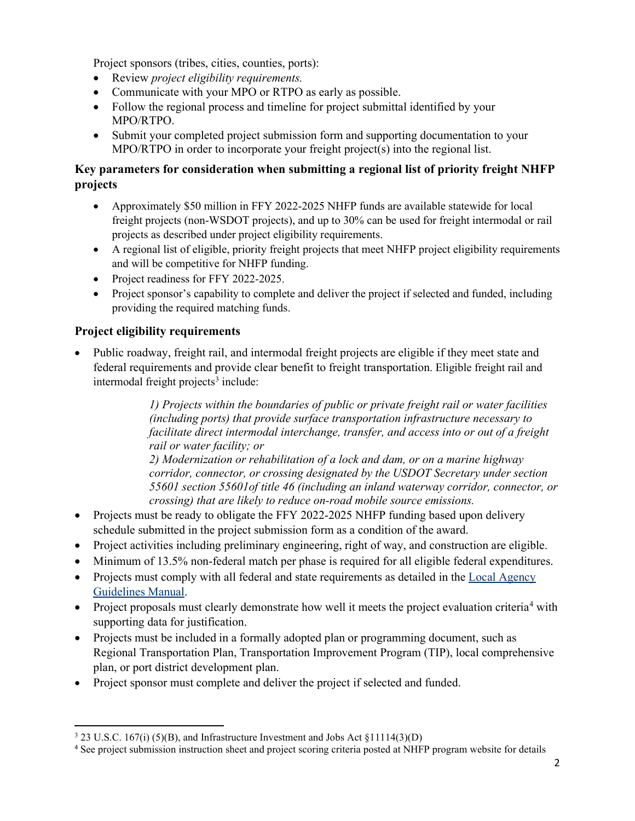Project sponsors (tribes, cities, counties, ports):

- Review *project eligibility requirements.*
- Communicate with your MPO or RTPO as early as possible.
- Follow the regional process and timeline for project submittal identified by your MPO/RTPO.
- Submit your completed project submission form and supporting documentation to your MPO/RTPO in order to incorporate your freight project(s) into the regional list.

## **Key parameters for consideration when submitting a regional list of priority freight NHFP projects**

- Approximately \$50 million in FFY 2022-2025 NHFP funds are available statewide for local freight projects (non-WSDOT projects), and up to 30% can be used for freight intermodal or rail projects as described under project eligibility requirements.
- A regional list of eligible, priority freight projects that meet NHFP project eligibility requirements and will be competitive for NHFP funding.
- Project readiness for FFY 2022-2025.
- Project sponsor's capability to complete and deliver the project if selected and funded, including providing the required matching funds.

# **Project eligibility requirements**

• Public roadway, freight rail, and intermodal freight projects are eligible if they meet state and federal requirements and provide clear benefit to freight transportation. Eligible freight rail and  $intermodal freight projects<sup>3</sup> include:$  $intermodal freight projects<sup>3</sup> include:$  $intermodal freight projects<sup>3</sup> include:$ 

> *1) Projects within the boundaries of public or private freight rail or water facilities (including ports) that provide surface transportation infrastructure necessary to facilitate direct intermodal interchange, transfer, and access into or out of a freight rail or water facility; or*

*2) Modernization or rehabilitation of a lock and dam, or on a marine highway corridor, connector, or crossing designated by the USDOT Secretary under section 55601 section 55601of title 46 (including an inland waterway corridor, connector, or crossing) that are likely to reduce on-road mobile source emissions.*

- Projects must be ready to obligate the FFY 2022-2025 NHFP funding based upon delivery schedule submitted in the project submission form as a condition of the award.
- Project activities including preliminary engineering, right of way, and construction are eligible.
- Minimum of 13.5% non-federal match per phase is required for all eligible federal expenditures.
- Projects must comply with all federal and state requirements as detailed in the Local Agency [Guidelines Manual.](https://wsdot.wa.gov/Publications/Manuals/M36-63.htm)
- Project proposals must clearly demonstrate how well it meets the project evaluation criteria<sup>[4](#page-1-1)</sup> with supporting data for justification.
- Projects must be included in a formally adopted plan or programming document, such as Regional Transportation Plan, Transportation Improvement Program (TIP), local comprehensive plan, or port district development plan.
- Project sponsor must complete and deliver the project if selected and funded.

<span id="page-1-0"></span><sup>3</sup> 23 U.S.C. 167(i) (5)(B), and Infrastructure Investment and Jobs Act §11114(3)(D)

<span id="page-1-1"></span><sup>&</sup>lt;sup>4</sup> See project submission instruction sheet and project scoring criteria posted at NHFP program website for details